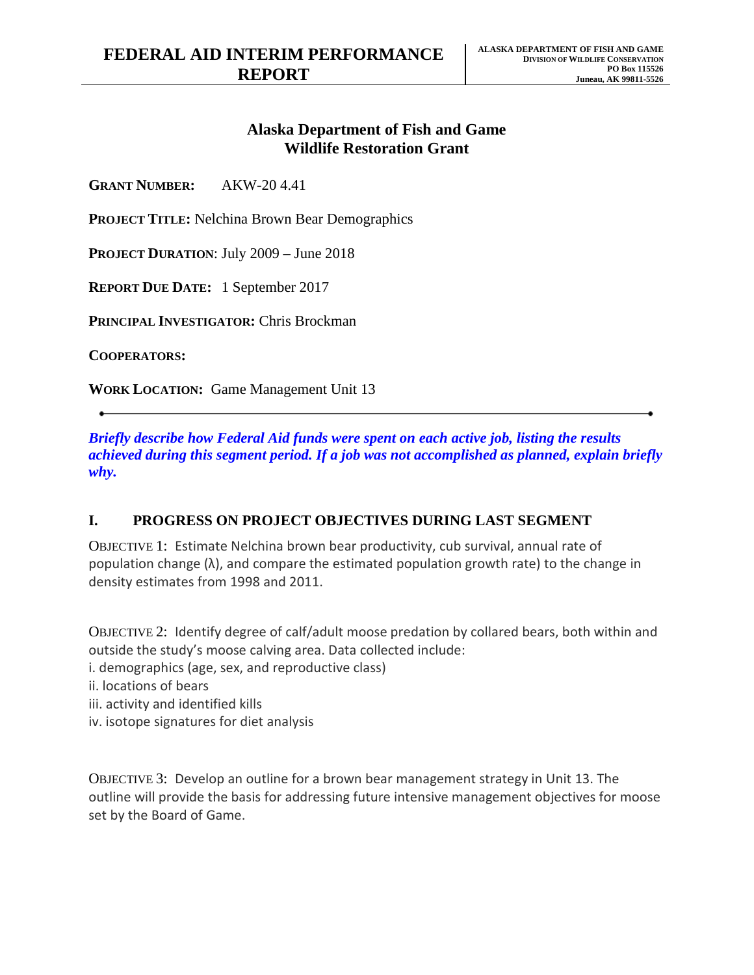# **Alaska Department of Fish and Game Wildlife Restoration Grant**

**GRANT NUMBER:** AKW-20 4.41

**PROJECT TITLE:** Nelchina Brown Bear Demographics

**PROJECT DURATION**: July 2009 – June 2018

**REPORT DUE DATE:** 1 September 2017

**PRINCIPAL INVESTIGATOR:** Chris Brockman

**COOPERATORS:**

**WORK LOCATION:** Game Management Unit 13

*Briefly describe how Federal Aid funds were spent on each active job, listing the results achieved during this segment period. If a job was not accomplished as planned, explain briefly why.*

## **I. PROGRESS ON PROJECT OBJECTIVES DURING LAST SEGMENT**

OBJECTIVE 1: Estimate Nelchina brown bear productivity, cub survival, annual rate of population change  $(\lambda)$ , and compare the estimated population growth rate) to the change in density estimates from 1998 and 2011.

OBJECTIVE 2: Identify degree of calf/adult moose predation by collared bears, both within and outside the study's moose calving area. Data collected include:

- i. demographics (age, sex, and reproductive class)
- ii. locations of bears
- iii. activity and identified kills
- iv. isotope signatures for diet analysis

OBJECTIVE 3: Develop an outline for a brown bear management strategy in Unit 13. The outline will provide the basis for addressing future intensive management objectives for moose set by the Board of Game.